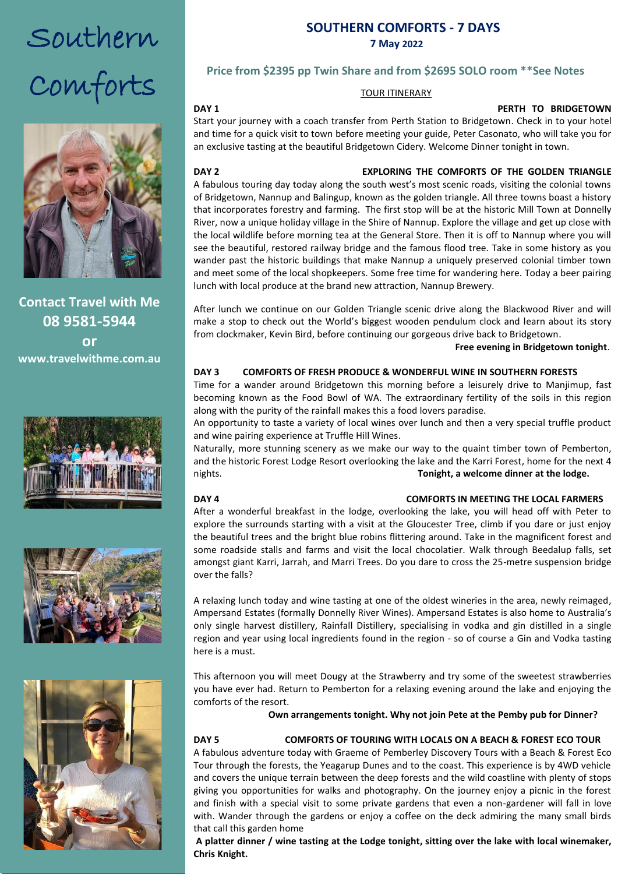# Southern Comforts



**Contact Travel with Me 08 9581-5944**  $\overline{\mathbf{C}}$  or  $\overline{\mathbf{C}}$  . The Bictonian order of  $\overline{\mathbf{C}}$ **or www.travelwithme.com.au**







## **SOUTHERN COMFORTS - 7 DAYS 7 May 2022**

#### **Price from \$2395 pp Twin Share and from \$2695 SOLO room \*\*See Notes**

#### TOUR ITINERARY

#### **DAY 1 PERTH TO BRIDGETOWN**

end a<br>Start your journey with a coach transfer from Perth Station to Bridgetown. Check in to your hotel and time for a quick visit to town before meeting your guide, Peter Casonato, who will take you for an exclusive tasting at the beautiful Bridgetown Cidery. Welcome Dinner tonight in town.

### **DAY 2** EXPLORING THE COMFORTS OF THE GOLDEN TRIANGLE

A fabulous touring day today along the south west's most scenic roads, visiting the colonial towns of Bridgetown, Nannup and Balingup, known as the golden triangle. All three towns boast a history that incorporates forestry and farming. The first stop will be at the historic Mill Town at Donnelly River, now a unique holiday village in the Shire of Nannup. Explore the village and get up close with the local wildlife before morning tea at the General Store. Then it is off to Nannup where you will see the beautiful, restored railway bridge and the famous flood tree. Take in some history as you wander past the historic buildings that make Nannup a uniquely preserved colonial timber town and meet some of the local shopkeepers. Some free time for wandering here. Today a beer pairing lunch with local produce at the brand new attraction, Nannup Brewery.

After lunch we continue on our Golden Triangle scenic drive along the Blackwood River and will make a stop to check out the World's biggest wooden pendulum clock and learn about its story from clockmaker, Kevin Bird, before continuing our gorgeous drive back to Bridgetown.

#### **Free evening in Bridgetown tonight**.

#### **DAY 3 COMFORTS OF FRESH PRODUCE & WONDERFUL WINE IN SOUTHERN FORESTS**

Time for a wander around Bridgetown this morning before a leisurely drive to Manjimup, fast becoming known as the Food Bowl of WA. The extraordinary fertility of the soils in this region along with the purity of the rainfall makes this a food lovers paradise.

An opportunity to taste a variety of local wines over lunch and then a very special truffle product and wine pairing experience at Truffle Hill Wines.

Naturally, more stunning scenery as we make our way to the quaint timber town of Pemberton, and the historic Forest Lodge Resort overlooking the lake and the Karri Forest, home for the next 4 nights. **Tonight, a welcome dinner at the lodge.**

#### **DAY 4 COMFORTS IN MEETING THE LOCAL FARMERS**

After a wonderful breakfast in the lodge, overlooking the lake, you will head off with Peter to explore the surrounds starting with a visit at the Gloucester Tree, climb if you dare or just enjoy the beautiful trees and the bright blue robins flittering around. Take in the magnificent forest and some roadside stalls and farms and visit the local chocolatier. Walk through Beedalup falls, set amongst giant Karri, Jarrah, and Marri Trees. Do you dare to cross the 25-metre suspension bridge over the falls?

A relaxing lunch today and wine tasting at one of the oldest wineries in the area, newly reimaged, Ampersand Estates (formally Donnelly River Wines). Ampersand Estates is also home to Australia's only single harvest distillery, Rainfall Distillery, specialising in vodka and gin distilled in a single region and year using local ingredients found in the region - so of course a Gin and Vodka tasting here is a must.

This afternoon you will meet Dougy at the Strawberry and try some of the sweetest strawberries you have ever had. Return to Pemberton for a relaxing evening around the lake and enjoying the comforts of the resort.

**Own arrangements tonight. Why not join Pete at the Pemby pub for Dinner?**

#### **DAY 5 COMFORTS OF TOURING WITH LOCALS ON A BEACH & FOREST ECO TOUR**

A fabulous adventure today with Graeme of Pemberley Discovery Tours with a Beach & Forest Eco Tour through the forests, the Yeagarup Dunes and to the coast. This experience is by 4WD vehicle and covers the unique terrain between the deep forests and the wild coastline with plenty of stops giving you opportunities for walks and photography. On the journey enjoy a picnic in the forest and finish with a special visit to some private gardens that even a non-gardener will fall in love with. Wander through the gardens or enjoy a coffee on the deck admiring the many small birds that call this garden home

**A platter dinner / wine tasting at the Lodge tonight, sitting over the lake with local winemaker, Chris Knight.**